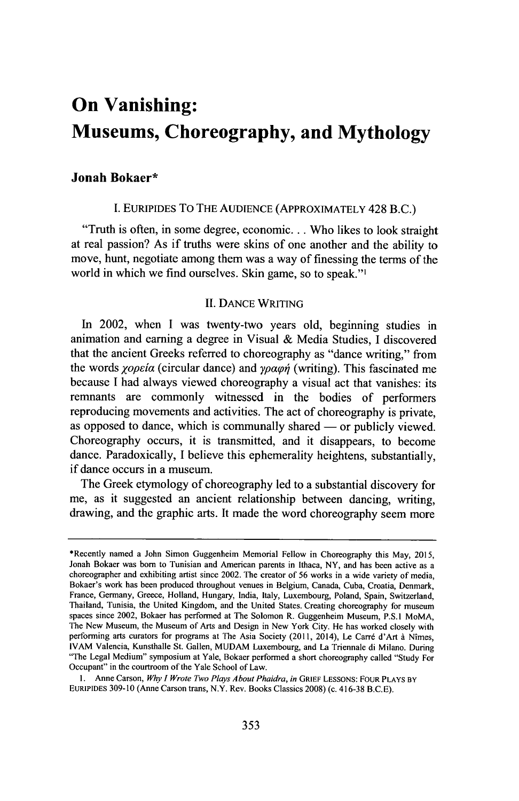# **On Vanishing: Museums, Choreography, and Mythology**

# **Jonah Bokaer\***

# **I.** EURIPIDES To THE AUDIENCE (APPROXIMATELY 428 **B.C.)**

"Truth is often, in some degree, economic. . **.** Who likes to look straight at real passion? As if truths were skins of one another and the ability to move, hunt, negotiate among them was a way of finessing the terms of the world in which we find ourselves. Skin game, so to speak."'

# **II. DANCE** WRITING

In 2002, when **I** was twenty-two years old, beginning studies in animation and earning a degree **in** Visual **&** Media Studies, **I** discovered that the ancient Greeks referred to choreography as "dance writing," from the words *χορεία* (circular dance) and *γραφή* (writing). This fascinated me because **I** had always viewed choreography a visual act that vanishes: its remnants are commonly witnessed in the bodies of performers reproducing movements and activities. The act of choreography is private, as opposed to dance, which is communally shared **-** or publicly viewed. Choreography occurs, it is transmitted, and it disappears, to become dance. Paradoxically, **I** believe this ephemerality heightens, substantially, if dance occurs in a museum.

The Greek etymology of choreography led to a substantial discovery for me, as it suggested an ancient relationship between dancing, writing, drawing, and the graphic arts. It made the word choreography seem more

<sup>\*</sup>Recently named a John Simon Guggenheim Memorial Fellow in Choreography this May, **2015,** Jonah Bokaer was born to Tunisian and American parents in Ithaca, NY, and has been active as a choreographer and exhibiting artist since 2002. The creator of *56* works in a wide variety of media, Bokaer's work has been produced throughout venues in Belgium, Canada, Cuba, Croatia, Denmark, France, Germany, Greece, Holland, Hungary, India, Italy, Luxembourg, Poland, Spain, Switzerland, Thailand, Tunisia, the United Kingdom, and the United States. Creating choreography for museum spaces since 2002, Bokaer has performed at The Solomon R. Guggenheim Museum, **P.S.1** MoMA, The New Museum, the Museum of Arts and Design in New York City. He has worked closely with performing arts curators for programs at The Asia Society (2011, 2014), Le Carré d'Art à Nîmes, IVAM Valencia, Kunsthalle St. Gallen, **MUDAM** Luxembourg, and La Triennale di Milano. During "The Legal Medium" symposium at Yale, Bokaer performed a short choreography called "Study For Occupant" in the courtroom of the Yale School of Law.

**<sup>1.</sup>** Anne Carson, *Why I Wrote Two Plays About Phaidra, in* GRIEF **LESSONS:** FOUR PLAYS BY EURIPIDES **309-10** (Anne Carson trans, N.Y. Rev. Books Classics **2008)** (c. **416-38 B.C.E).**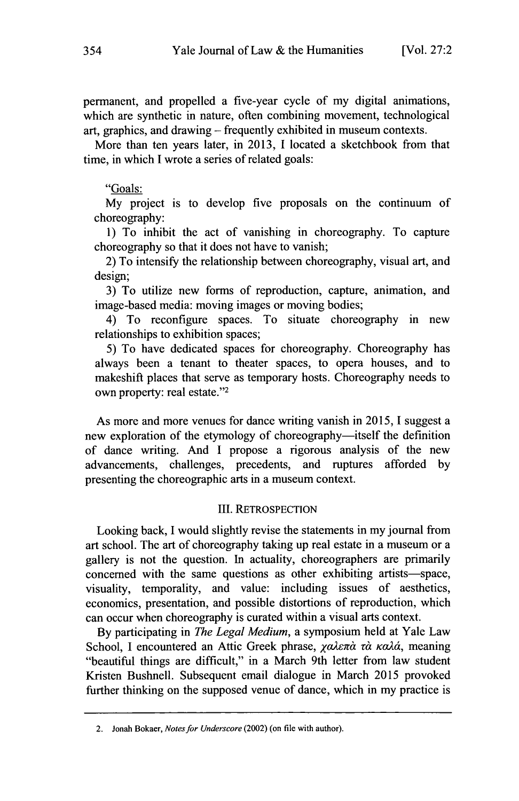permanent, and propelled a five-year cycle of my digital animations, which are synthetic **in** nature, often combining movement, technological art, graphics, and drawing **-** frequently exhibited in museum contexts.

More than ten years later, in **2013,** I located a sketchbook from that time, in which **I** wrote a series of related goals:

# "Goals:

**My** project is to develop five proposals on the continuum of choreography:

**1)** To inhibit the act of vanishing in choreography. To capture choreography so that it does not have to vanish;

2) To intensify the relationship between choreography, visual art, and design;

**3)** To utilize new forms of reproduction, capture, animation, and image-based media: moving images or moving bodies;

4) To reconfigure spaces. To situate choreography in new relationships to exhibition spaces;

**5)** To have dedicated spaces for choreography. Choreography has always been a tenant to theater spaces, to opera houses, and to makeshift places that serve as temporary hosts. Choreography needs to own property: real estate."<sup>2</sup>

As more and more venues for dance writing vanish in **2015,** I suggest a new exploration of the etymology of choreography-itself the definition of dance writing. And **I** propose a rigorous analysis of the new advancements, challenges, precedents, and ruptures afforded **by** presenting the choreographic arts in a museum context.

# III. RETROSPECTION

Looking back, **I** would slightly revise the statements in my journal from art school. The art of choreography taking up real estate in a museum or a gallery is not the question. In actuality, choreographers are primarily concerned with the same questions as other exhibiting artists-space, visuality, temporality, and value: including issues of aesthetics, economics, presentation, and possible distortions of reproduction, which can occur when choreography is curated within a visual arts context.

**By** participating in *The Legal Medium,* a symposium held at Yale Law School, I encountered an Attic Greek phrase, χαλεπά τὰ καλά, meaning "beautiful things are difficult," in a March 9th letter from law student Kristen Bushnell. Subsequent email dialogue in March **2015** provoked further thinking on the supposed venue of dance, which in my practice is

<sup>2.</sup> Jonah Bokaer, Notes for *Underscore* (2002) (on file with author).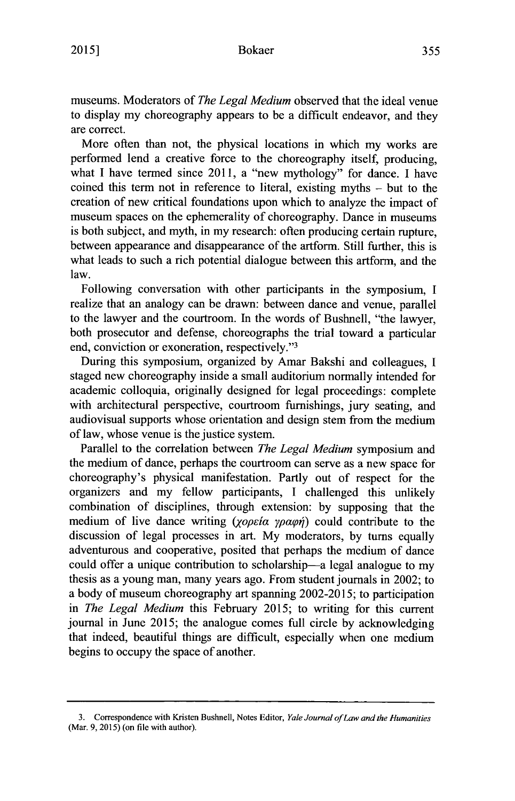#### Bokaer **2015] 355**

museums. Moderators of *The Legal Medium* observed that the ideal venue to display my choreography appears to be a difficult endeavor, and they are correct.

More often than not, the physical locations in which my works are performed lend a creative force to the choreography itself, producing, what **I** have termed since **2011,** a "new mythology" for dance. **I** have coined this term not in reference to literal, existing myths **-** but to the creation of new critical foundations upon which to analyze the impact of museum spaces on the ephemerality of choreography. Dance in museums is both subject, and myth, in my research: often producing certain rupture, between appearance and disappearance of the artform. Still further, this **is** what leads to such a rich potential dialogue between this artform, and the law.

Following conversation with other participants **in** the symposium, **I** realize that an analogy can be drawn: between dance and venue, parallel to the lawyer and the courtroom. In the words of Bushnell, "the lawyer, both prosecutor and defense, choreographs the trial toward a particular end, conviction or exoneration, respectively."<sup>3</sup>

During this symposium, organized **by** Amar Bakshi and colleagues, **I** staged new choreography inside a small auditorium normally intended for academic colloquia, originally designed for legal proceedings: complete with architectural perspective, courtroom furnishings, jury seating, and audiovisual supports whose orientation and design stem from the medium of law, whose venue is the justice system.

Parallel to the correlation between *The Legal Medium* symposium and the medium of dance, perhaps the courtroom can serve as a new space for choreography's physical manifestation. Partly out of respect for the organizers and my fellow participants, **I** challenged this unlikely combination of disciplines, through extension: **by** supposing that the medium of live dance writing (*χορεία γραφή*) could contribute to the discussion of legal processes in art. **My** moderators, **by** turns equally adventurous and cooperative, posited that perhaps the medium of dance could offer a unique contribution to scholarship-a legal analogue to my thesis as a young man, many years ago. From student journals in 2002; to a body of museum choreography art spanning **2002-2015;** to participation in *The Legal Medium* this February **2015;** to writing for this current journal in June **2015;** the analogue comes full circle **by** acknowledging that indeed, beautiful things are difficult, especially when one medium begins to occupy the space of another.

**<sup>3.</sup>** Correspondence with Kristen Bushnell, Notes Editor, *Yale Journal ofLaw and the Humanities* (Mar. **9, 2015)** (on file with author).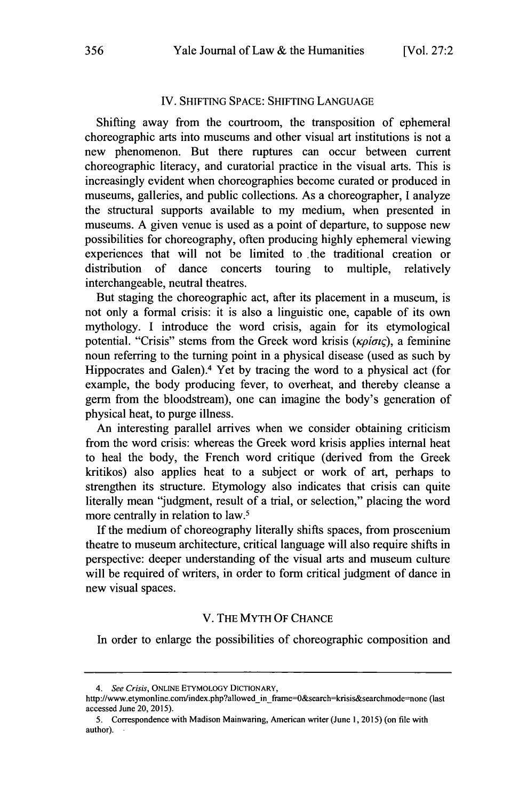## IV. **SHIFTING SPACE: SHIFTING LANGUAGE**

Shifting away from the courtroom, the transposition of ephemeral choreographic arts into museums and other visual art institutions is not a new phenomenon. But there ruptures can occur between current choreographic literacy, and curatorial practice in the visual arts. This is increasingly evident when choreographies become curated or produced in museums, galleries, and public collections. As a choreographer, **I** analyze the structural supports available to my medium, when presented in museums. **A** given venue is used as a point of departure, to suppose new possibilities for choreography, often producing **highly** ephemeral viewing experiences that will not be limited to the traditional creation or distribution of dance concerts touring to multiple, relatively interchangeable, neutral theatres.

But staging the choreographic act, after its placement in a museum, is not only a formal crisis: it is also a linguistic one, capable of its own mythology. **I** introduce the word crisis, again for its etymological potential. "Crisis" stems from the Greek word krisis (κρίσις), a feminine noun referring to the turning point in a physical disease (used as such **by** Hippocrates and Galen).<sup>4</sup> Yet by tracing the word to a physical act (for example, the body producing fever, to overheat, and thereby cleanse a germ from the bloodstream), one can imagine the body's generation of physical heat, to purge illness.

An interesting parallel arrives when we consider obtaining criticism from the word crisis: whereas the Greek word krisis applies internal heat to heal the body, the French word critique (derived from the Greek kritikos) also applies heat to a subject or work of art, perhaps to strengthen its structure. Etymology also indicates that crisis can quite literally mean "judgment, result of a trial, or selection," placing the word more centrally in relation to law.<sup>5</sup>

**If** the medium of choreography literally shifts spaces, from proscenium theatre to museum architecture, critical language will also require shifts in perspective: deeper understanding of the visual arts and museum culture will be required of writers, in order to form critical judgment of dance in new visual spaces.

# V. THE MYTH OF **CHANCE**

In order to enlarge the possibilities of choreographic composition and

*<sup>4.</sup> See Crisis,* **ONLINE ETYMOLOGY DICTIONARY,**

http://www.etymonline.com/index.php?allowed-in-frame=0&search=krisis&searchmode=none **(last** accessed June 20, **2015).**

*<sup>5.</sup>* Correspondence with Madison Mainwaring, American writer (June **1, 2015)** (on file with author).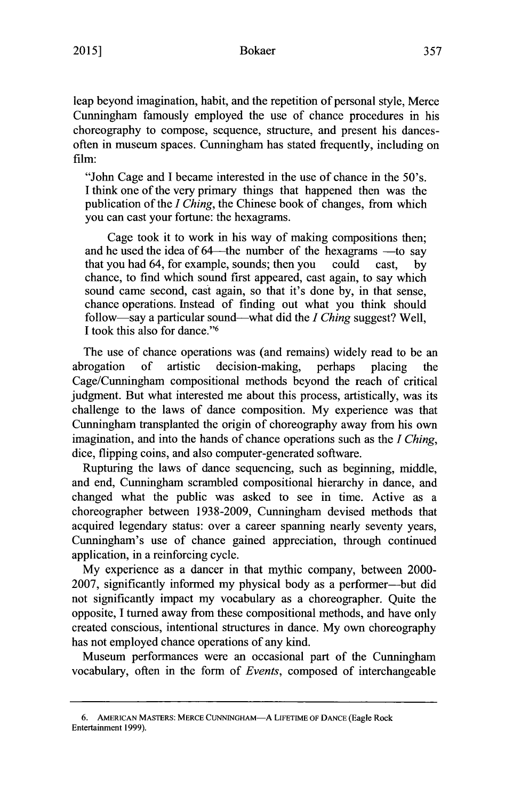### Bokaer

leap beyond imagination, habit, and the repetition of personal style, Merce Cunningham famously employed the use of chance procedures in his choreography to compose, sequence, structure, and present his dancesoften in museum spaces. Cunningham has stated frequently, including on **film:**

"John Cage and **I** became interested in the use of chance in the 50's. **I** think one of the very primary things that happened then was the publication of the *I Ching,* the Chinese book of changes, from which you can cast your fortune: the hexagrams.

Cage took it to work in his way of making compositions then; and he used the idea of  $64$ —the number of the hexagrams —to say that you had 64, for example, sounds; then you could cast, **by** chance, to find which sound first appeared, cast again, to say which sound came second, cast again, so that it's done **by,** in that sense, chance operations. Instead of finding out what you think should follow-say a particular sound-what did the *I Ching* suggest? Well, I took this also for dance."<sup>6</sup>

The use of chance operations was (and remains) widely read to be an rogation of artistic decision-making, perhands placing the abrogation of artistic decision-making, perhaps placing the Cage/Cunningham compositional methods beyond the reach of critical judgment. But what interested me about this process, artistically, was its challenge to the laws of dance composition. **My** experience was that Cunningham transplanted the origin of choreography away from his own imagination, and into the hands of chance operations such as the *I Ching,* dice, flipping coins, and also computer-generated software.

Rupturing the laws of dance sequencing, such as beginning, middle, and end, Cunningham scrambled compositional hierarchy in dance, and changed what the public was asked to see in time. Active as a choreographer between **1938-2009,** Cunningham devised methods that acquired legendary status: over a career spanning nearly seventy years, Cunningham's use of chance gained appreciation, through continued application, in a reinforcing cycle.

**My** experience as a dancer in that mythic company, between 2000- 2007, significantly informed my physical body as a performer—but did not significantly impact my vocabulary as a choreographer. Quite the opposite, **I** turned away from these compositional methods, and have only created conscious, intentional structures in dance. **My** own choreography has not employed chance operations of any kind.

Museum performances were an occasional part of the Cunningham vocabulary, often in the form of *Events,* composed of interchangeable

**<sup>6.</sup> AMERICAN MASTERS: MERCE CUNNINGHAM-A LIFETIME OF DANCE** (Eagle Rock Entertainment **1999).**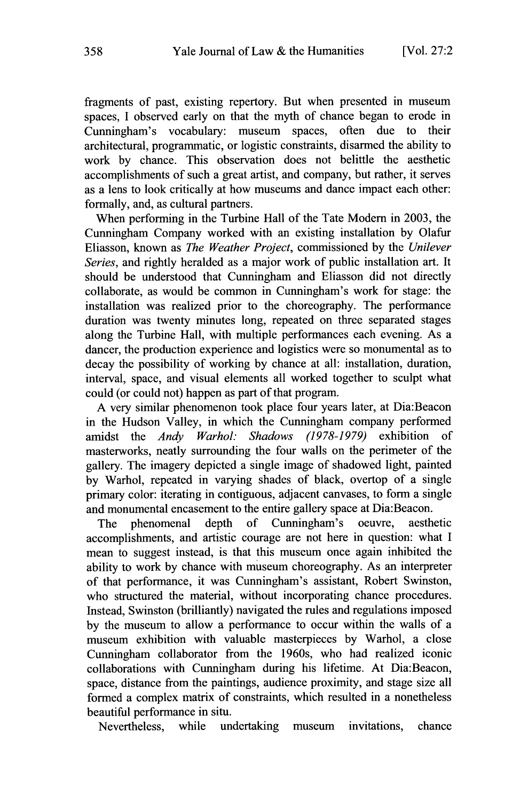fragments of past, existing repertory. But when presented in museum spaces, **I** observed early on that the myth of chance began to erode in Cunningham's vocabulary: museum spaces, often due to their architectural, programmatic, or logistic constraints, disarmed the ability to work **by** chance. This observation does not belittle the aesthetic accomplishments of such a great artist, and company, but rather, it serves as a lens to look critically at how museums and dance impact each other: formally, and, as cultural partners.

When performing in the Turbine Hall of the Tate Modern in **2003,** the Cunningham Company worked with an existing installation **by** Olafur Eliasson, known as *The Weather Project,* commissioned **by** the *Unilever Series,* and rightly heralded as a major work of public installation art. It should be understood that Cunningham and Eliasson did not directly collaborate, as would be common in Cunningham's work for stage: the installation was realized prior to the choreography. The performance duration was twenty minutes long, repeated on three separated stages along the Turbine Hall, with multiple performances each evening. As a dancer, the production experience and logistics were so monumental as to decay the possibility of working **by** chance at all: installation, duration, interval, space, and visual elements all worked together to sculpt what could (or could not) happen as part of that program.

**A** very similar phenomenon took place four years later, at Dia:Beacon in the Hudson Valley, in which the Cunningham company performed amidst the *Andy Warhol: Shadows (1978-1979)* exhibition of masterworks, neatly surrounding the four walls on the perimeter of the gallery. The imagery depicted a single image of shadowed light, painted **by** Warhol, repeated in varying shades of black, overtop of a single primary color: iterating in contiguous, adjacent canvases, to form a single and monumental encasement to the entire gallery space at Dia:Beacon.

The phenomenal depth of Cunningham's oeuvre, aesthetic accomplishments, and artistic courage are not here in question: what **I** mean to suggest instead, is that this museum once again inhibited the ability to work **by** chance with museum choreography. As an interpreter of that performance, it was Cunningham's assistant, Robert Swinston, who structured the material, without incorporating chance procedures. Instead, Swinston (brilliantly) navigated the rules and regulations imposed **by** the museum to allow a performance to occur within the walls of a museum exhibition with valuable masterpieces **by** Warhol, a close Cunningham collaborator from the 1960s, who had realized iconic collaborations with Cunningham during his lifetime. At Dia:Beacon, space, distance from the paintings, audience proximity, and stage size all formed a complex matrix of constraints, which resulted in a nonetheless beautiful performance in situ.

Nevertheless, while undertaking museum invitations, chance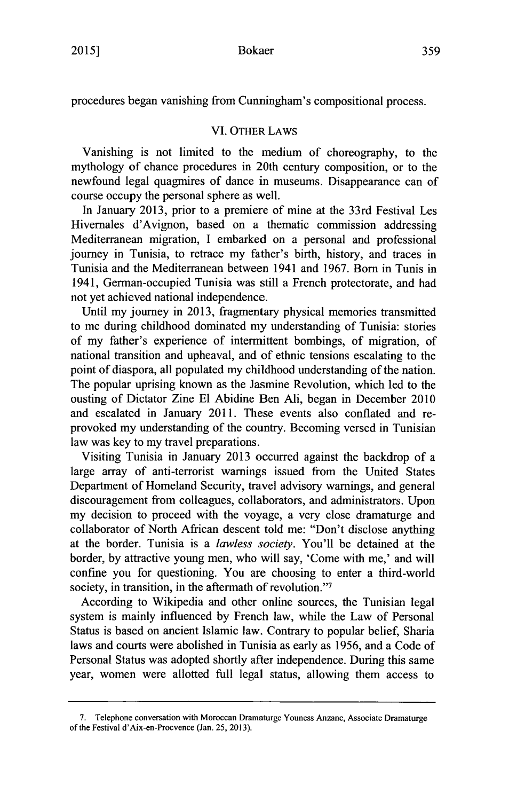procedures began vanishing from Cunningham's compositional process.

# VI. OTHER LAWS

Vanishing is not limited to the medium of choreography, to the mythology of chance procedures in 20th century composition, or to the newfound legal quagmires of dance in museums. Disappearance can of course occupy the personal sphere as well.

In January **2013,** prior to a premiere of mine at the 33rd Festival Les Hivernales d'Avignon, based on a thematic commission addressing Mediterranean migration, **I** embarked on a personal and professional journey in Tunisia, to retrace my father's birth, history, and traces in Tunisia and the Mediterranean between 1941 and **1967.** Born in Tunis in 1941, German-occupied Tunisia was still a French protectorate, and had not yet achieved national independence.

Until my journey in **2013,** fragmentary physical memories transmitted to me during childhood dominated my understanding of Tunisia: stories of my father's experience of intermittent bombings, of migration, of national transition and upheaval, and of ethnic tensions escalating to the point of diaspora, all populated my childhood understanding of the nation. The popular uprising known as the Jasmine Revolution, which led to the ousting of Dictator Zinc **El** Abidine Ben Ali, began in December 2010 and escalated in January **2011.** These events also conflated and reprovoked my understanding of the country. Becoming versed in Tunisian law was key to my travel preparations.

Visiting Tunisia in January **2013** occurred against the backdrop of a large array of anti-terrorist warnings issued from the United States Department of Homeland Security, travel advisory warnings, and general discouragement from colleagues, collaborators, and administrators. Upon my decision to proceed with the voyage, a very close dramaturge and collaborator of North African descent told me: "Don't disclose anything at the border. Tunisia is a *lawless society.* You'll be detained at the border, **by** attractive young men, who will say, 'Come with me,' and will confine you for questioning. You are choosing to enter a third-world society, in transition, in the aftermath of revolution."<sup>7</sup>

According to Wikipedia and other online sources, the Tunisian legal system is mainly influenced **by** French law, while the Law of Personal Status is based on ancient Islamic law. Contrary to popular belief, Sharia laws and courts were abolished in Tunisia as early as **1956,** and a Code of Personal Status was adopted shortly after independence. During this same year, women were allotted full legal status, allowing them access to

**<sup>7.</sup>** Telephone conversation with Moroccan Dramaturge Youness Anzane, Associate Dramaturge of the Festival d'Aix-en-Procvence (Jan. **25, 2013).**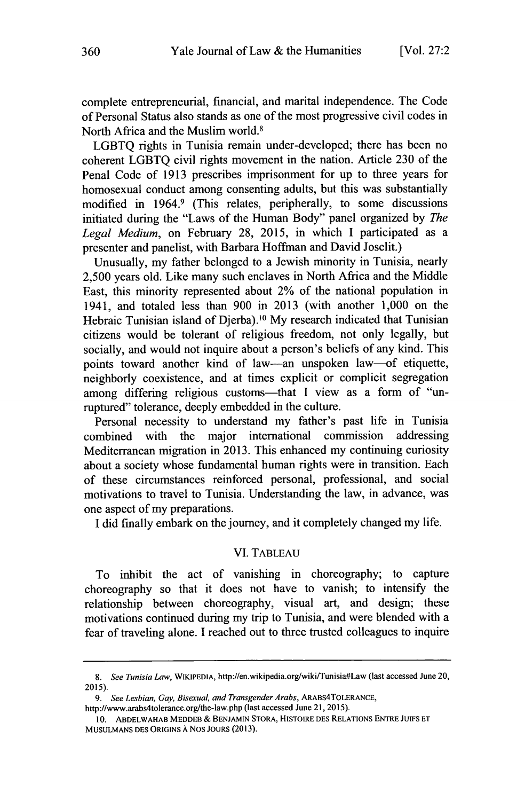complete entrepreneurial, financial, and marital independence. The Code of Personal Status also stands as one of the most progressive civil codes in North Africa and the Muslim world.<sup>8</sup>

**LGBTQ** rights in Tunisia remain under-developed; there has been no coherent **LGBTQ** civil rights movement in the nation. Article **230** of the Penal Code of **1913** prescribes imprisonment for up to three years for homosexual conduct among consenting adults, but this was substantially modified in 1964.9 (This relates, peripherally, to some discussions initiated during the "Laws of the Human Body" panel organized **by** *The Legal Medium,* on February **28, 2015,** in which **I** participated as a presenter and panelist, with Barbara Hoffman and David Joselit.)

Unusually, my father belonged to a Jewish minority in Tunisia, nearly **2,500** years old. Like many such enclaves in North Africa and the Middle East, this minority represented about 2% of the national population in 1941, and totaled less than **900** in **2013** (with another **1,000** on the Hebraic Tunisian island of Djerba).<sup>10</sup> My research indicated that Tunisian citizens would be tolerant of religious freedom, not only legally, but socially, and would not inquire about a person's beliefs of any kind. This points toward another kind of law-an unspoken law-of etiquette, neighborly coexistence, and at times explicit or complicit segregation among differing religious customs-that **I** view as a form of "unruptured" tolerance, deeply embedded in the culture.

Personal necessity to understand my father's past life in Tunisia combined with the major international commission addressing Mediterranean migration in **2013.** This enhanced my continuing curiosity about a society whose fundamental human rights were in transition. Each of these circumstances reinforced personal, professional, and social motivations to travel to Tunisia. Understanding the law, in advance, was one aspect of my preparations.

**I** did finally embark on the journey, and it completely changed my life.

# VI. **TABLEAU**

To inhibit the act of vanishing in choreography; to capture choreography so that it does not have to vanish; to intensify the relationship between choreography, visual art, and design; these motivations continued during my trip to Tunisia, and were blended with a fear of traveling alone. **I** reached out to three trusted colleagues to inquire

*<sup>8.</sup> See Tunisia Law,* **WIKIPEDIA,** http://en.wikipedia.org/wiki/Tunisia#Law (last accessed June 20, **2015).**

*<sup>9.</sup> See Lesbian, Gay, Bisexual, and Transgender Arabs,* **ARABS4TOLERANCE,** http://www.arabs4tolerance.org/the-law.php (last accessed June 21, **2015).**

**<sup>10.</sup> ABDELWAHAB MEDDEB** *&* **BENJAMIN STORA, HISTOIRE DES RELATIONS ENTRE JUlFS ET MUSULMANS DES** ORIGINS A **Nos JOURS (2013).**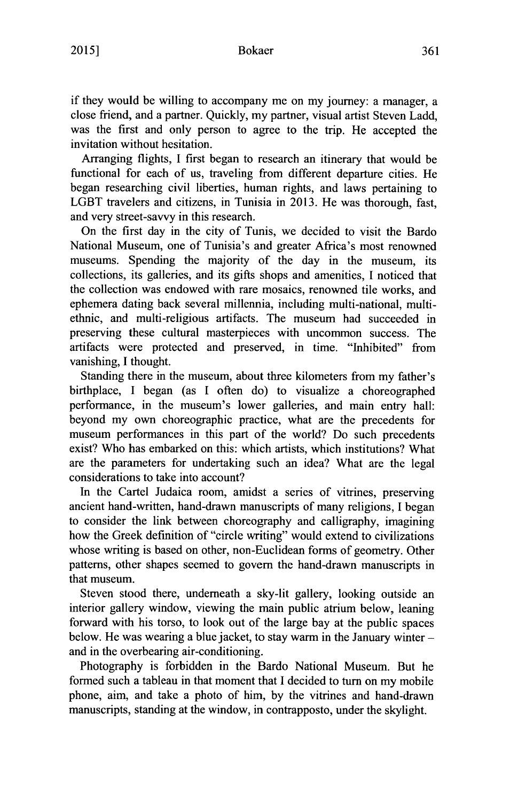#### Bokaer **2015] 361**

if they would be willing to accompany me on my journey: a manager, a close friend, and a partner. Quickly, my partner, visual artist Steven Ladd, was the first and only person to agree to the trip. He accepted the invitation without hesitation.

Arranging flights, **I** first began to research an itinerary that would be functional for each of us, traveling from different departure cities. He began researching civil liberties, human rights, and laws pertaining to LGBT travelers and citizens, in Tunisia in **2013.** He was thorough, fast, and very street-savvy in this research.

On the first day in the city of Tunis, we decided to visit the Bardo National Museum, one of Tunisia's and greater Africa's most renowned museums. Spending the majority of the day in the museum, its collections, its galleries, and its gifts shops and amenities, **I** noticed that the collection was endowed with rare mosaics, renowned tile works, and ephemera dating back several millennia, including multi-national, multiethnic, and multi-religious artifacts. The museum had succeeded in preserving these cultural masterpieces with uncommon success. The artifacts were protected and preserved, in time. "Inhibited" from vanishing, **I** thought.

Standing there in the museum, about three kilometers from my father's birthplace, **I** began (as **I** often do) to visualize a choreographed performance, in the museum's lower galleries, and main entry hall: beyond my own choreographic practice, what are the precedents for museum performances **in** this part of the world? Do such precedents exist? Who has embarked on this: which artists, which institutions? What are the parameters for undertaking such an idea? What are the legal considerations to take into account?

In the Cartel Judaica room, amidst a series of vitrines, preserving ancient hand-written, hand-drawn manuscripts of many religions, **I** began to consider the link between choreography and calligraphy, imagining how the Greek definition of "circle writing" would extend to civilizations whose writing is based on other, non-Euclidean forms of geometry. Other patterns, other shapes seemed to govern the hand-drawn manuscripts in that museum.

Steven stood there, underneath a sky-lit gallery, looking outside an interior gallery window, viewing the main public atrium below, leaning forward with his torso, to look out of the large bay at the public spaces below. He was wearing a blue jacket, to stay warm in the January winter and in the overbearing air-conditioning.

Photography is forbidden in the Bardo National Museum. But he formed such a tableau in that moment that **I** decided to turn on my mobile phone, aim, and take a photo of him, **by** the vitrines and hand-drawn manuscripts, standing at the window, in contrapposto, under the skylight.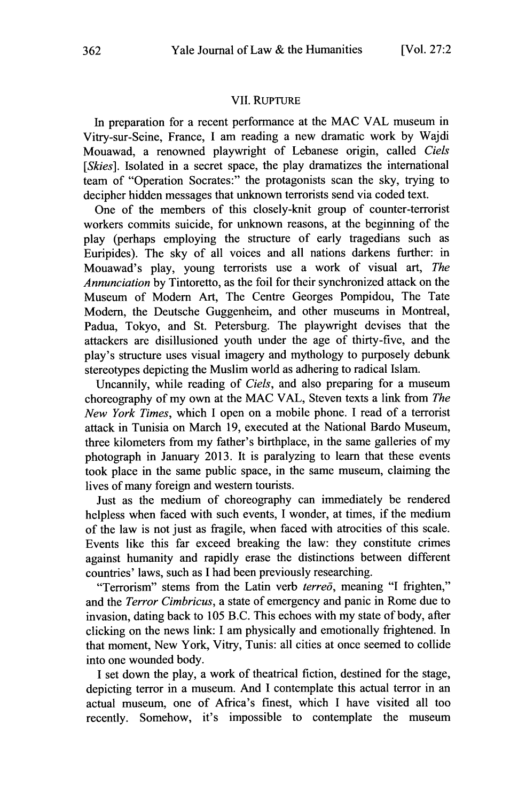# VII. **RUPTURE**

In preparation for a recent performance at the **MAC** VAL museum in Vitry-sur-Seine, France, **I** am reading a new dramatic work **by** Wajdi Mouawad, a renowned playwright of Lebanese origin, called *Ciels* [*Skies*]. Isolated in a secret space, the play dramatizes the international team of "Operation Socrates:" the protagonists scan the sky, trying to decipher hidden messages that unknown terrorists send via coded text.

One of the members of this closely-knit group of counter-terrorist workers commits suicide, for unknown reasons, at the beginning of the play (perhaps employing the structure of early tragedians such as Euripides). The sky of all voices and all nations darkens further: in Mouawad's play, young terrorists use a work of visual art, *The Annunciation* **by** Tintoretto, as the foil for their synchronized attack on the Museum of Modern Art, The Centre Georges Pompidou, The Tate Modern, the Deutsche Guggenheim, and other museums in Montreal, Padua, Tokyo, and St. Petersburg. The playwright devises that the attackers are disillusioned youth under the age of thirty-five, and the play's structure uses visual imagery and mythology to purposely debunk stereotypes depicting the Muslim world as adhering to radical Islam.

Uncannily, while reading of *Ciels,* and also preparing for a museum choreography of my own at the **MAC** VAL, Steven texts a link from *The New York Times,* which **I** open on a mobile phone. **I** read of a terrorist attack in Tunisia on March **19,** executed at the National Bardo Museum, three kilometers from my father's birthplace, in the same galleries of my photograph in January **2013.** It is paralyzing to learn that these events took place in the same public space, in the same museum, claiming the lives of many foreign and western tourists.

Just as the medium of choreography can immediately be rendered helpless when faced with such events, **I** wonder, at times, if the medium of the law is not just as fragile, when faced with atrocities of this scale. Events like this far exceed breaking the law: they constitute crimes against humanity and rapidly erase the distinctions between different countries' laws, such as **I** had been previously researching.

"Terrorism" stems from the Latin verb *terreo,* meaning **"I** frighten," and the *Terror Cimbricus,* a state of emergency and panic in Rome due to invasion, dating back to **105** B.C. This echoes with my state of body, after clicking on the news link: **I** am physically and emotionally frightened. In that moment, New York, Vitry, Tunis: all cities at once seemed to collide into one wounded body.

**I** set down the play, a work of theatrical fiction, destined for the stage, depicting terror in a museum. And **I** contemplate this actual terror in an actual museum, one of Africa's finest, which **I** have visited all too recently. Somehow, it's impossible to contemplate the museum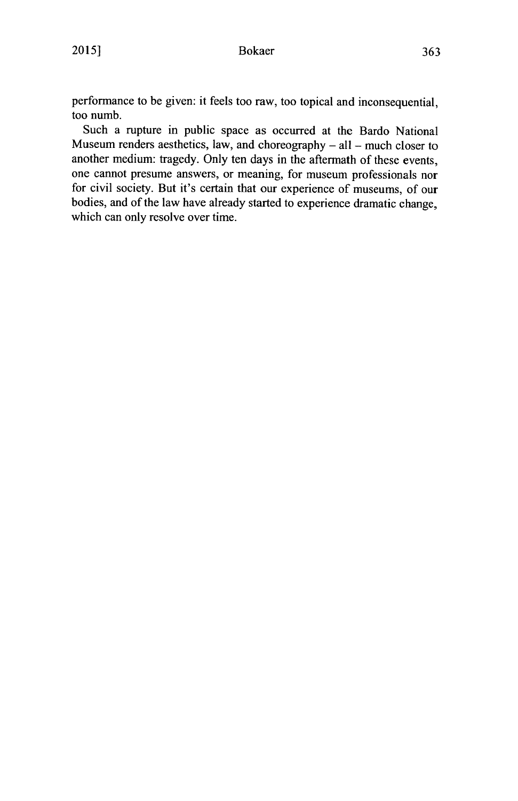performance to be given: it feels too raw, too topical and inconsequential, too numb.

Such a rupture in public space as occurred at the Bardo National Museum renders aesthetics, law, and choreography **-** all **-** much closer to another medium: tragedy. Only ten days in the aftermath of these events, one cannot presume answers, or meaning, for museum professionals nor for civil society. But it's certain that our experience of museums, of our bodies, and of the law have already started to experience dramatic change, which can only resolve over time.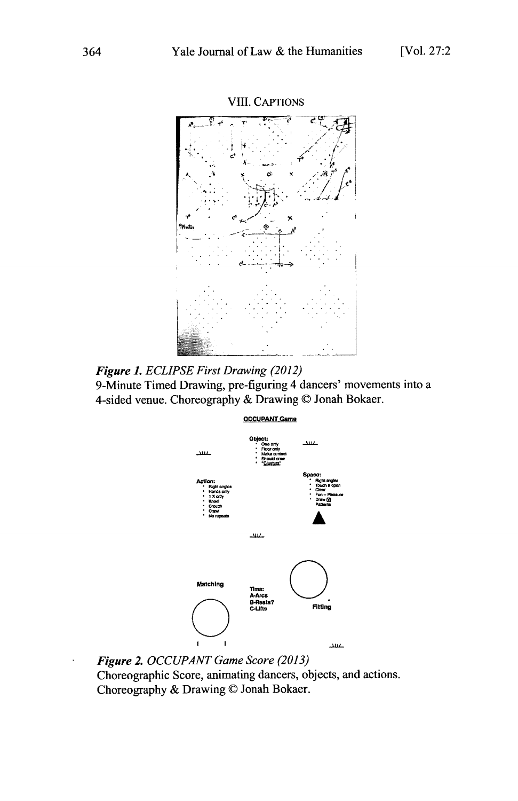





*Figure 2. OCCUPANT Game Score (2013)* Choreographic Score, animating dancers, objects, and actions. Choreography & Drawing © Jonah Bokaer.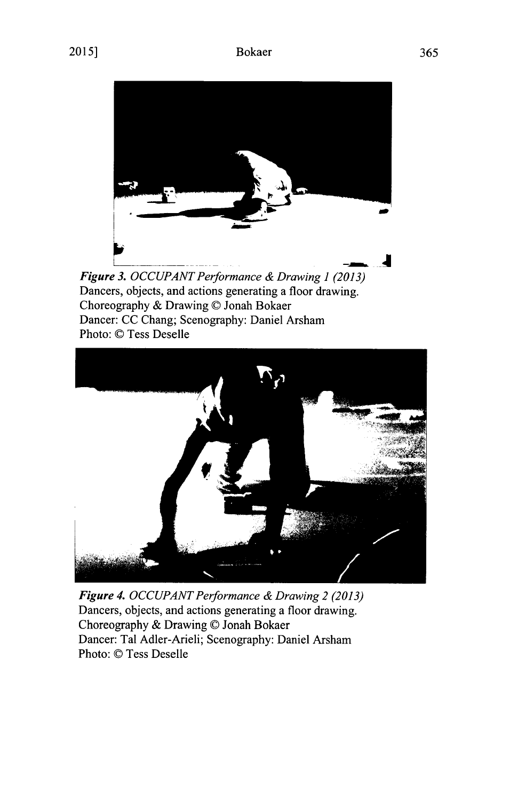

*Figure 3. OCCUPANT Performance & Drawing 1 (2013)* Dancers, objects, and actions generating a floor drawing. Choreography **&** Drawing **C** Jonah Bokaer Dancer: **CC** Chang; Scenography: Daniel Arsham Photo: © Tess Deselle



*Figure 4. OCCUPANT Performance & Drawing 2 (2013)* Dancers, objects, and actions generating a floor drawing. Choreography **&** Drawing C Jonah Bokaer Dancer: Tal Adler-Arieli; Scenography: Daniel Arsham Photo: © Tess Deselle